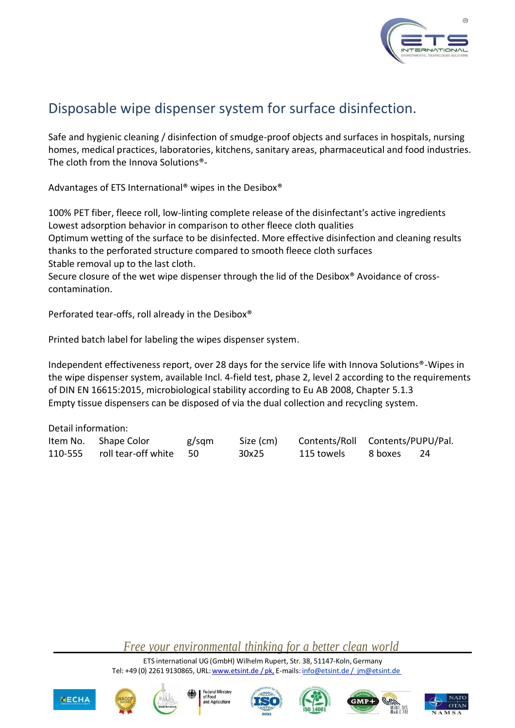

## Disposable wipe dispenser system for surface disinfection.

Safe and hygienic cleaning / disinfection of smudge-proof objects and surfaces in hospitals, nursing homes, medical practices, laboratories, kitchens, sanitary areas, pharmaceutical and food industries. The cloth from the Innova Solutions®-

Advantages of ETS International® wipes in the Desibox®

100% PET fiber, fleece roll, low-linting complete release of the disinfectant's active ingredients Lowest adsorption behavior in comparison to other fleece cloth qualities Optimum wetting of the surface to be disinfected. More effective disinfection and cleaning results thanks to the perforated structure compared to smooth fleece cloth surfaces Stable removal up to the last cloth.

Secure closure of the wet wipe dispenser through the lid of the Desibox® Avoidance of crosscontamination.

Perforated tear-offs, roll already in the Desibox®

Printed batch label for labeling the wipes dispenser system.

Independent effectiveness report, over 28 days for the service life with Innova Solutions®-Wipes in the wipe dispenser system, available Incl. 4-field test, phase 2, level 2 according to the requirements of DIN EN 16615:2015, microbiological stability according to Eu AB 2008, Chapter 5.1.3 Empty tissue dispensers can be disposed of via the dual collection and recycling system.

Detail information:

| Item No. Shape Color           | g/sqm | Size (cm) | Contents/Roll Contents/PUPU/Pal. |         |  |
|--------------------------------|-------|-----------|----------------------------------|---------|--|
| 110-555 roll tear-off white 50 |       | 30x25     | 115 towels                       | 8 boxes |  |

*Free your environmental thinking for a better clean world*

ETS international UG (GmbH) Wilhelm Rupert, Str. 38, 51147-Koln,Germany Tel: +49 (0) 2261 9130865, URL: [www.etsint.de](http://www.etsint.de/) / pk, E-mails: info@etsint.de / im@etsint.de